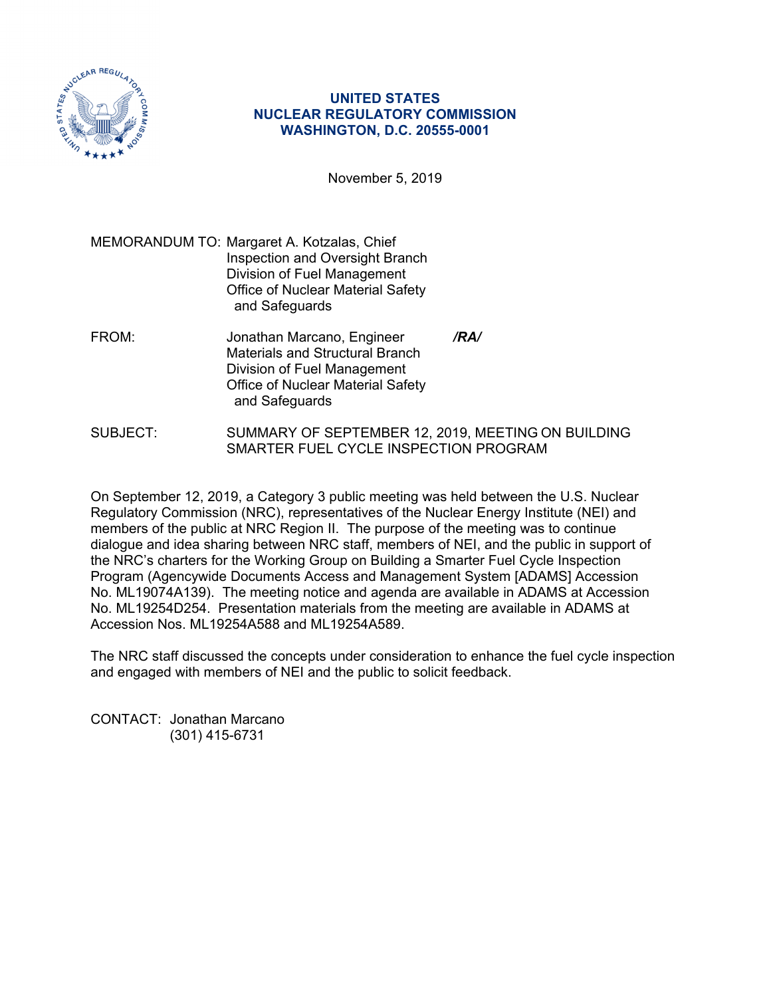

## **UNITED STATES NUCLEAR REGULATORY COMMISSION WASHINGTON, D.C. 20555-0001**

November 5, 2019

MEMORANDUM TO: Margaret A. Kotzalas, Chief Inspection and Oversight Branch Division of Fuel Management Office of Nuclear Material Safety and Safeguards

- FROM: Jonathan Marcano, Engineer */RA/*  Materials and Structural Branch Division of Fuel Management Office of Nuclear Material Safety and Safeguards
- SUBJECT: SUMMARY OF SEPTEMBER 12, 2019, MEETING ON BUILDING SMARTER FUEL CYCLE INSPECTION PROGRAM

On September 12, 2019, a Category 3 public meeting was held between the U.S. Nuclear Regulatory Commission (NRC), representatives of the Nuclear Energy Institute (NEI) and members of the public at NRC Region II. The purpose of the meeting was to continue dialogue and idea sharing between NRC staff, members of NEI, and the public in support of the NRC's charters for the Working Group on Building a Smarter Fuel Cycle Inspection Program (Agencywide Documents Access and Management System [ADAMS] Accession No. ML19074A139). The meeting notice and agenda are available in ADAMS at Accession No. ML19254D254. Presentation materials from the meeting are available in ADAMS at Accession Nos. ML19254A588 and ML19254A589.

The NRC staff discussed the concepts under consideration to enhance the fuel cycle inspection and engaged with members of NEI and the public to solicit feedback.

CONTACT: Jonathan Marcano (301) 415-6731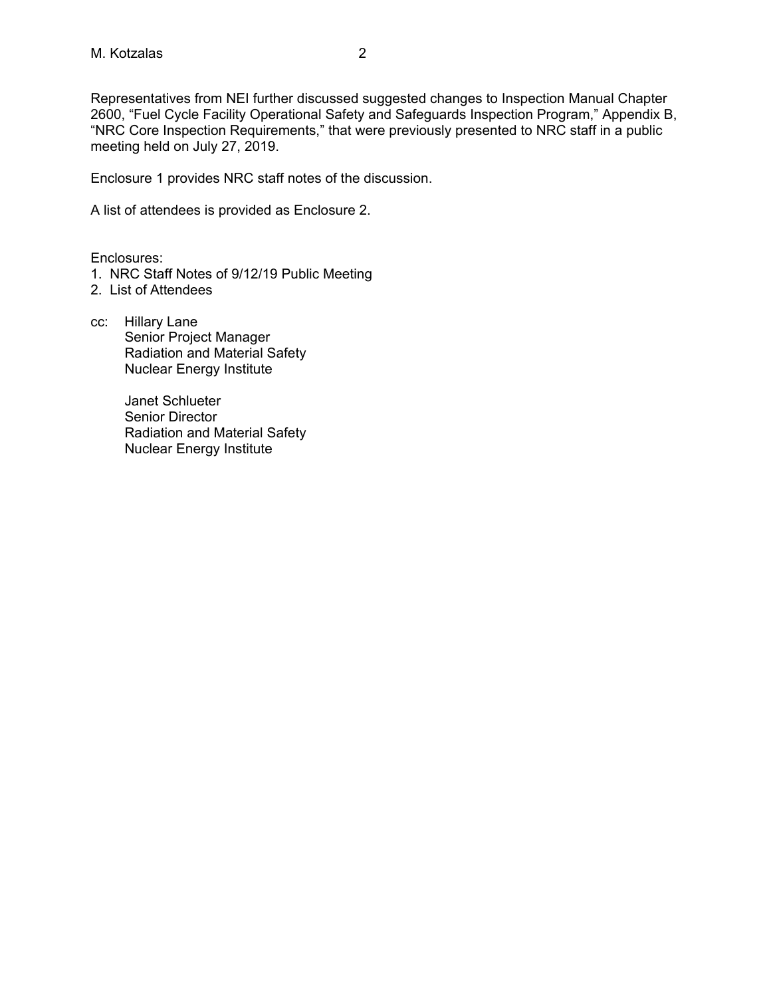Representatives from NEI further discussed suggested changes to Inspection Manual Chapter 2600, "Fuel Cycle Facility Operational Safety and Safeguards Inspection Program," Appendix B, "NRC Core Inspection Requirements," that were previously presented to NRC staff in a public meeting held on July 27, 2019.

Enclosure 1 provides NRC staff notes of the discussion.

A list of attendees is provided as Enclosure 2.

Enclosures:

- 1. NRC Staff Notes of 9/12/19 Public Meeting
- 2. List of Attendees
- cc: Hillary Lane Senior Project Manager Radiation and Material Safety Nuclear Energy Institute

 Janet Schlueter Senior Director Radiation and Material Safety Nuclear Energy Institute